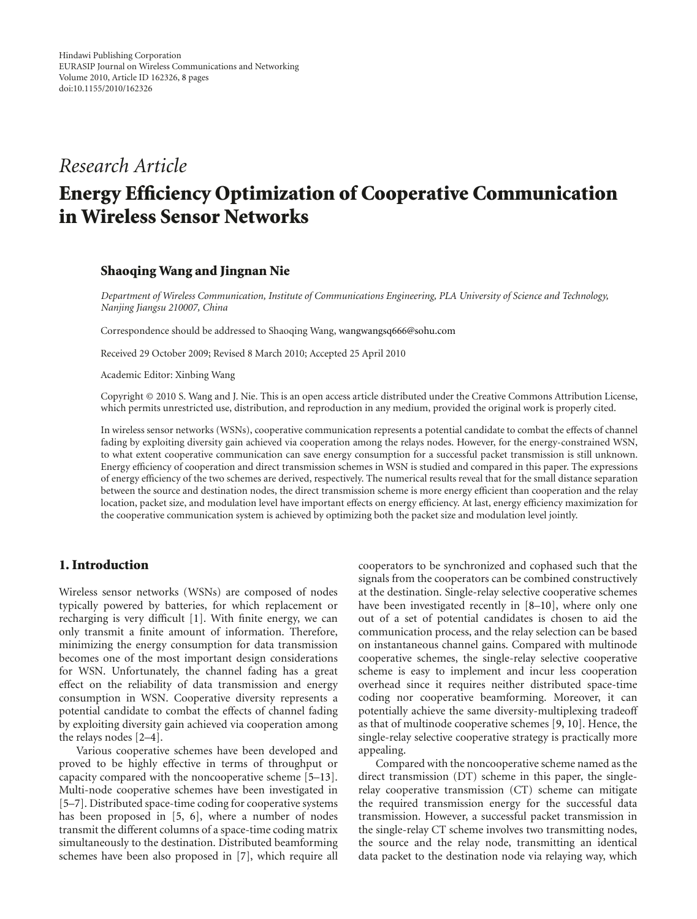# *Research Article*

# **Energy Efficiency Optimization of Cooperative Communication in Wireless Sensor Networks**

# **Shaoqing Wang and Jingnan Nie**

*Department of Wireless Communication, Institute of Communications Engineering, PLA University of Science and Technology, Nanjing Jiangsu 210007, China*

Correspondence should be addressed to Shaoqing Wang, wangwangsq666@sohu.com

Received 29 October 2009; Revised 8 March 2010; Accepted 25 April 2010

Academic Editor: Xinbing Wang

Copyright © 2010 S. Wang and J. Nie. This is an open access article distributed under the Creative Commons Attribution License, which permits unrestricted use, distribution, and reproduction in any medium, provided the original work is properly cited.

In wireless sensor networks (WSNs), cooperative communication represents a potential candidate to combat the effects of channel fading by exploiting diversity gain achieved via cooperation among the relays nodes. However, for the energy-constrained WSN, to what extent cooperative communication can save energy consumption for a successful packet transmission is still unknown. Energy efficiency of cooperation and direct transmission schemes in WSN is studied and compared in this paper. The expressions of energy efficiency of the two schemes are derived, respectively. The numerical results reveal that for the small distance separation between the source and destination nodes, the direct transmission scheme is more energy efficient than cooperation and the relay location, packet size, and modulation level have important effects on energy efficiency. At last, energy efficiency maximization for the cooperative communication system is achieved by optimizing both the packet size and modulation level jointly.

# **1. Introduction**

Wireless sensor networks (WSNs) are composed of nodes typically powered by batteries, for which replacement or recharging is very difficult [1]. With finite energy, we can only transmit a finite amount of information. Therefore, minimizing the energy consumption for data transmission becomes one of the most important design considerations for WSN. Unfortunately, the channel fading has a great effect on the reliability of data transmission and energy consumption in WSN. Cooperative diversity represents a potential candidate to combat the effects of channel fading by exploiting diversity gain achieved via cooperation among the relays nodes [2–4].

Various cooperative schemes have been developed and proved to be highly effective in terms of throughput or capacity compared with the noncooperative scheme [5–13]. Multi-node cooperative schemes have been investigated in [5–7]. Distributed space-time coding for cooperative systems has been proposed in [5, 6], where a number of nodes transmit the different columns of a space-time coding matrix simultaneously to the destination. Distributed beamforming schemes have been also proposed in [7], which require all cooperators to be synchronized and cophased such that the signals from the cooperators can be combined constructively at the destination. Single-relay selective cooperative schemes have been investigated recently in [8–10], where only one out of a set of potential candidates is chosen to aid the communication process, and the relay selection can be based on instantaneous channel gains. Compared with multinode cooperative schemes, the single-relay selective cooperative scheme is easy to implement and incur less cooperation overhead since it requires neither distributed space-time coding nor cooperative beamforming. Moreover, it can potentially achieve the same diversity-multiplexing tradeoff as that of multinode cooperative schemes [9, 10]. Hence, the single-relay selective cooperative strategy is practically more appealing.

Compared with the noncooperative scheme named as the direct transmission (DT) scheme in this paper, the singlerelay cooperative transmission (CT) scheme can mitigate the required transmission energy for the successful data transmission. However, a successful packet transmission in the single-relay CT scheme involves two transmitting nodes, the source and the relay node, transmitting an identical data packet to the destination node via relaying way, which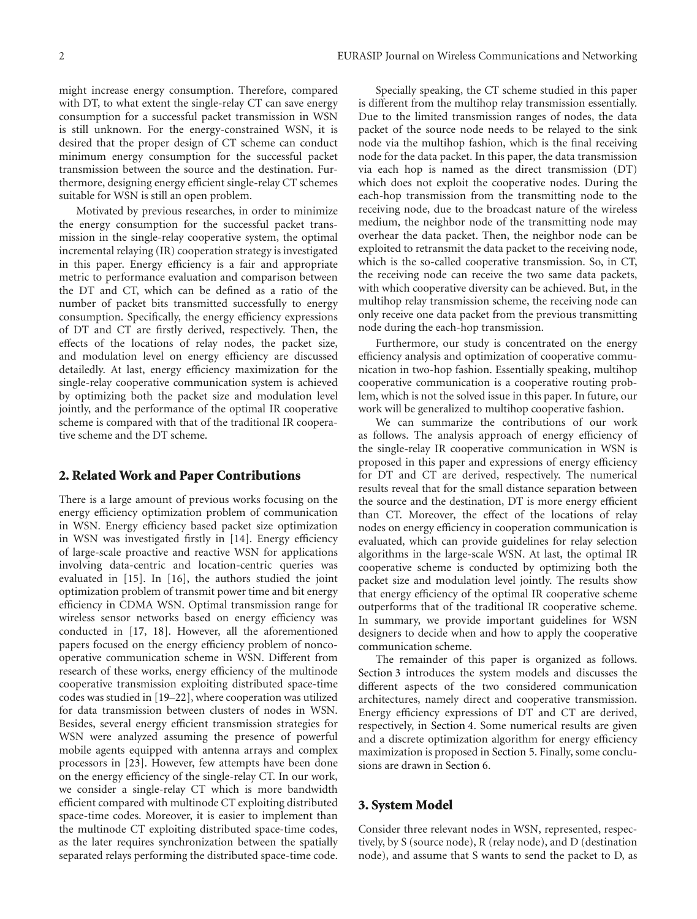might increase energy consumption. Therefore, compared with DT, to what extent the single-relay CT can save energy consumption for a successful packet transmission in WSN is still unknown. For the energy-constrained WSN, it is desired that the proper design of CT scheme can conduct minimum energy consumption for the successful packet transmission between the source and the destination. Furthermore, designing energy efficient single-relay CT schemes suitable for WSN is still an open problem.

Motivated by previous researches, in order to minimize the energy consumption for the successful packet transmission in the single-relay cooperative system, the optimal incremental relaying (IR) cooperation strategy is investigated in this paper. Energy efficiency is a fair and appropriate metric to performance evaluation and comparison between the DT and CT, which can be defined as a ratio of the number of packet bits transmitted successfully to energy consumption. Specifically, the energy efficiency expressions of DT and CT are firstly derived, respectively. Then, the effects of the locations of relay nodes, the packet size, and modulation level on energy efficiency are discussed detailedly. At last, energy efficiency maximization for the single-relay cooperative communication system is achieved by optimizing both the packet size and modulation level jointly, and the performance of the optimal IR cooperative scheme is compared with that of the traditional IR cooperative scheme and the DT scheme.

# **2. Related Work and Paper Contributions**

There is a large amount of previous works focusing on the energy efficiency optimization problem of communication in WSN. Energy efficiency based packet size optimization in WSN was investigated firstly in [14]. Energy efficiency of large-scale proactive and reactive WSN for applications involving data-centric and location-centric queries was evaluated in [15]. In [16], the authors studied the joint optimization problem of transmit power time and bit energy efficiency in CDMA WSN. Optimal transmission range for wireless sensor networks based on energy efficiency was conducted in [17, 18]. However, all the aforementioned papers focused on the energy efficiency problem of noncooperative communication scheme in WSN. Different from research of these works, energy efficiency of the multinode cooperative transmission exploiting distributed space-time codes was studied in [19–22], where cooperation was utilized for data transmission between clusters of nodes in WSN. Besides, several energy efficient transmission strategies for WSN were analyzed assuming the presence of powerful mobile agents equipped with antenna arrays and complex processors in [23]. However, few attempts have been done on the energy efficiency of the single-relay CT. In our work, we consider a single-relay CT which is more bandwidth efficient compared with multinode CT exploiting distributed space-time codes. Moreover, it is easier to implement than the multinode CT exploiting distributed space-time codes, as the later requires synchronization between the spatially separated relays performing the distributed space-time code.

Specially speaking, the CT scheme studied in this paper is different from the multihop relay transmission essentially. Due to the limited transmission ranges of nodes, the data packet of the source node needs to be relayed to the sink node via the multihop fashion, which is the final receiving node for the data packet. In this paper, the data transmission via each hop is named as the direct transmission (DT) which does not exploit the cooperative nodes. During the each-hop transmission from the transmitting node to the receiving node, due to the broadcast nature of the wireless medium, the neighbor node of the transmitting node may overhear the data packet. Then, the neighbor node can be exploited to retransmit the data packet to the receiving node, which is the so-called cooperative transmission. So, in CT, the receiving node can receive the two same data packets, with which cooperative diversity can be achieved. But, in the multihop relay transmission scheme, the receiving node can only receive one data packet from the previous transmitting node during the each-hop transmission.

Furthermore, our study is concentrated on the energy efficiency analysis and optimization of cooperative communication in two-hop fashion. Essentially speaking, multihop cooperative communication is a cooperative routing problem, which is not the solved issue in this paper. In future, our work will be generalized to multihop cooperative fashion.

We can summarize the contributions of our work as follows. The analysis approach of energy efficiency of the single-relay IR cooperative communication in WSN is proposed in this paper and expressions of energy efficiency for DT and CT are derived, respectively. The numerical results reveal that for the small distance separation between the source and the destination, DT is more energy efficient than CT. Moreover, the effect of the locations of relay nodes on energy efficiency in cooperation communication is evaluated, which can provide guidelines for relay selection algorithms in the large-scale WSN. At last, the optimal IR cooperative scheme is conducted by optimizing both the packet size and modulation level jointly. The results show that energy efficiency of the optimal IR cooperative scheme outperforms that of the traditional IR cooperative scheme. In summary, we provide important guidelines for WSN designers to decide when and how to apply the cooperative communication scheme.

The remainder of this paper is organized as follows. Section 3 introduces the system models and discusses the different aspects of the two considered communication architectures, namely direct and cooperative transmission. Energy efficiency expressions of DT and CT are derived, respectively, in Section 4. Some numerical results are given and a discrete optimization algorithm for energy efficiency maximization is proposed in Section 5. Finally, some conclusions are drawn in Section 6.

# **3. System Model**

Consider three relevant nodes in WSN, represented, respectively, by S (source node), R (relay node), and D (destination node), and assume that S wants to send the packet to D, as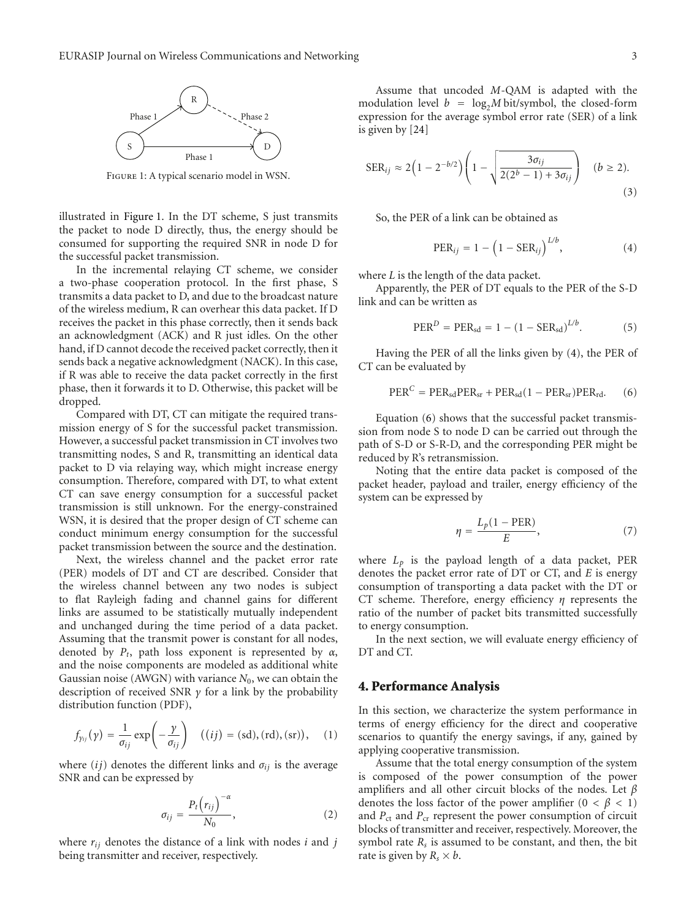

Figure 1: A typical scenario model in WSN.

illustrated in Figure 1. In the DT scheme, S just transmits the packet to node D directly, thus, the energy should be consumed for supporting the required SNR in node D for the successful packet transmission.

In the incremental relaying CT scheme, we consider a two-phase cooperation protocol. In the first phase, S transmits a data packet to D, and due to the broadcast nature of the wireless medium, R can overhear this data packet. If D receives the packet in this phase correctly, then it sends back an acknowledgment (ACK) and R just idles. On the other hand, if D cannot decode the received packet correctly, then it sends back a negative acknowledgment (NACK). In this case, if R was able to receive the data packet correctly in the first phase, then it forwards it to D. Otherwise, this packet will be dropped.

Compared with DT, CT can mitigate the required transmission energy of S for the successful packet transmission. However, a successful packet transmission in CT involves two transmitting nodes, S and R, transmitting an identical data packet to D via relaying way, which might increase energy consumption. Therefore, compared with DT, to what extent CT can save energy consumption for a successful packet transmission is still unknown. For the energy-constrained WSN, it is desired that the proper design of CT scheme can conduct minimum energy consumption for the successful packet transmission between the source and the destination.

Next, the wireless channel and the packet error rate (PER) models of DT and CT are described. Consider that the wireless channel between any two nodes is subject to flat Rayleigh fading and channel gains for different links are assumed to be statistically mutually independent and unchanged during the time period of a data packet. Assuming that the transmit power is constant for all nodes, denoted by  $P_t$ , path loss exponent is represented by  $\alpha$ , and the noise components are modeled as additional white Gaussian noise (AWGN) with variance *N*0, we can obtain the description of received SNR *γ* for a link by the probability distribution function (PDF),

$$
f_{\gamma_{ij}}(\gamma) = \frac{1}{\sigma_{ij}} \exp\left(-\frac{\gamma}{\sigma_{ij}}\right) \quad ((ij) = (sd), (rd), (sr)), \quad (1)
$$

where  $(ij)$  denotes the different links and  $\sigma_{ij}$  is the average SNR and can be expressed by

$$
\sigma_{ij} = \frac{P_t(r_{ij})^{-\alpha}}{N_0},\tag{2}
$$

where *rij* denotes the distance of a link with nodes *i* and *j* being transmitter and receiver, respectively.

Assume that uncoded *M*-QAM is adapted with the modulation level  $b = \log_2 M$  bit/symbol, the closed-form expression for the average symbol error rate (SER) of a link is given by [24]

$$
SER_{ij} \approx 2\Big(1 - 2^{-b/2}\Big)\Bigg(1 - \sqrt{\frac{3\sigma_{ij}}{2(2^b - 1) + 3\sigma_{ij}}}\Bigg) \quad (b \ge 2).
$$
\n(3)

So, the PER of a link can be obtained as

$$
\text{PER}_{ij} = 1 - \left(1 - \text{SER}_{ij}\right)^{L/b},\tag{4}
$$

where *L* is the length of the data packet.

Apparently, the PER of DT equals to the PER of the S-D link and can be written as

$$
PERD = PERsd = 1 - (1 - SERsd)L/b.
$$
 (5)

Having the PER of all the links given by (4), the PER of CT can be evaluated by

$$
PER^{C} = PER_{sd}PER_{sr} + PER_{sd}(1 - PER_{sr})PER_{rd}. \qquad (6)
$$

Equation (6) shows that the successful packet transmission from node S to node D can be carried out through the path of S-D or S-R-D, and the corresponding PER might be reduced by R's retransmission.

Noting that the entire data packet is composed of the packet header, payload and trailer, energy efficiency of the system can be expressed by

$$
\eta = \frac{L_p (1 - PER)}{E},\tag{7}
$$

where  $L_p$  is the payload length of a data packet, PER denotes the packet error rate of DT or CT, and *E* is energy consumption of transporting a data packet with the DT or CT scheme. Therefore, energy efficiency *η* represents the ratio of the number of packet bits transmitted successfully to energy consumption.

In the next section, we will evaluate energy efficiency of DT and CT.

#### **4. Performance Analysis**

In this section, we characterize the system performance in terms of energy efficiency for the direct and cooperative scenarios to quantify the energy savings, if any, gained by applying cooperative transmission.

Assume that the total energy consumption of the system is composed of the power consumption of the power amplifiers and all other circuit blocks of the nodes. Let *β* denotes the loss factor of the power amplifier  $(0 < \beta < 1)$ and *P<sub>ct</sub>* and *P<sub>cr</sub>* represent the power consumption of circuit blocks of transmitter and receiver, respectively. Moreover, the symbol rate  $R_s$  is assumed to be constant, and then, the bit rate is given by  $R_s \times b$ .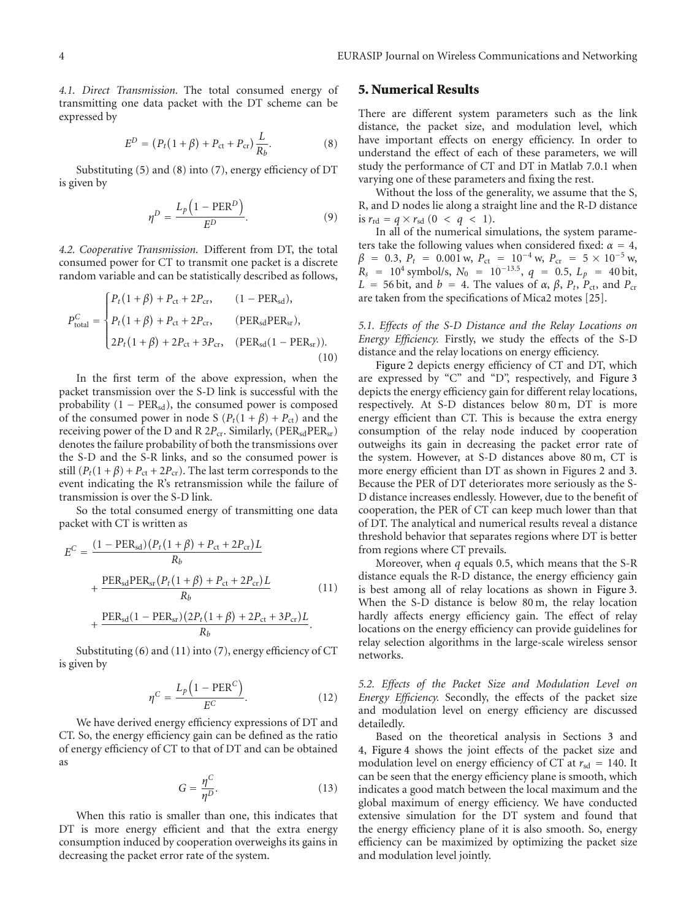*4.1. Direct Transmission.* The total consumed energy of transmitting one data packet with the DT scheme can be expressed by

$$
E^{D} = (P_{t}(1+\beta) + P_{ct} + P_{cr})\frac{L}{R_{b}}.
$$
 (8)

Substituting (5) and (8) into (7), energy efficiency of DT is given by

$$
\eta^D = \frac{L_p \left(1 - PER^D\right)}{E^D}.\tag{9}
$$

*4.2. Cooperative Transmission.* Different from DT, the total consumed power for CT to transmit one packet is a discrete random variable and can be statistically described as follows,

$$
P_{\text{total}}^{C} = \begin{cases} P_{t}(1+\beta) + P_{\text{ct}} + 2P_{\text{cr}}, & (1 - PER_{\text{sd}}), \\ P_{t}(1+\beta) + P_{\text{ct}} + 2P_{\text{cr}}, & (PER_{\text{sd}}PER_{\text{sr}}), \\ 2P_{t}(1+\beta) + 2P_{\text{ct}} + 3P_{\text{cr}}, & (PER_{\text{sd}}(1 - PER_{\text{sr}})). \end{cases}
$$
(10)

In the first term of the above expression, when the packet transmission over the S-D link is successful with the probability  $(1 - PER<sub>sd</sub>)$ , the consumed power is composed of the consumed power in node S  $(P_t(1 + \beta) + P_{ct})$  and the receiving power of the D and R  $2P_{cr}$ . Similarly, (PER<sub>sd</sub>PER<sub>sr</sub>) denotes the failure probability of both the transmissions over the S-D and the S-R links, and so the consumed power is still  $(P_t(1 + \beta) + P_{ct} + 2P_{cr})$ . The last term corresponds to the event indicating the R's retransmission while the failure of transmission is over the S-D link.

So the total consumed energy of transmitting one data packet with CT is written as

$$
E^{C} = \frac{(1 - PER_{sd}) (P_t (1 + \beta) + P_{ct} + 2P_{cr}) L}{R_b}
$$
  
+ 
$$
\frac{PER_{sd}PER_{sr} (P_t (1 + \beta) + P_{ct} + 2P_{cr}) L}{R_b}
$$
  
+ 
$$
\frac{PER_{sd} (1 - PER_{sr}) (2P_t (1 + \beta) + 2P_{ct} + 3P_{cr}) L}{R_b}
$$
 (11)

Substituting (6) and (11) into (7), energy efficiency of CT is given by

$$
\eta^C = \frac{L_p \left(1 - \text{PER}^C\right)}{E^C}.
$$
\n(12)

We have derived energy efficiency expressions of DT and CT. So, the energy efficiency gain can be defined as the ratio of energy efficiency of CT to that of DT and can be obtained as

$$
G = \frac{\eta^C}{\eta^D}.\tag{13}
$$

When this ratio is smaller than one, this indicates that DT is more energy efficient and that the extra energy consumption induced by cooperation overweighs its gains in decreasing the packet error rate of the system.

# **5. Numerical Results**

There are different system parameters such as the link distance, the packet size, and modulation level, which have important effects on energy efficiency. In order to understand the effect of each of these parameters, we will study the performance of CT and DT in Matlab 7.0.1 when varying one of these parameters and fixing the rest.

Without the loss of the generality, we assume that the S, R, and D nodes lie along a straight line and the R-D distance is  $r_{\text{rd}} = q \times r_{\text{sd}} (0 < q < 1).$ 

In all of the numerical simulations, the system parameters take the following values when considered fixed:  $\alpha = 4$ ,  $\beta$  = 0.3,  $P_t$  = 0.001 w,  $P_{ct}$  = 10<sup>-4</sup> w,  $P_{cr}$  = 5 × 10<sup>-5</sup> w,  $R_s = 10^4$  symbol/s,  $N_0 = 10^{-13.5}$ ,  $q = 0.5$ ,  $L_p = 40$  bit, *L* = 56 bit, and *b* = 4. The values of *α*, *β*, *P<sub>t</sub>*, *P<sub>ct</sub>*, and *P<sub>cr</sub>* are taken from the specifications of Mica2 motes [25].

*5.1. Effects of the S-D Distance and the Relay Locations on Energy Efficiency.* Firstly, we study the effects of the S-D distance and the relay locations on energy efficiency.

Figure 2 depicts energy efficiency of CT and DT, which are expressed by "C" and "D", respectively, and Figure 3 depicts the energy efficiency gain for different relay locations, respectively. At S-D distances below 80 m, DT is more energy efficient than CT. This is because the extra energy consumption of the relay node induced by cooperation outweighs its gain in decreasing the packet error rate of the system. However, at S-D distances above 80 m, CT is more energy efficient than DT as shown in Figures 2 and 3. Because the PER of DT deteriorates more seriously as the S-D distance increases endlessly. However, due to the benefit of cooperation, the PER of CT can keep much lower than that of DT. The analytical and numerical results reveal a distance threshold behavior that separates regions where DT is better from regions where CT prevails.

Moreover, when *q* equals 0.5, which means that the S-R distance equals the R-D distance, the energy efficiency gain is best among all of relay locations as shown in Figure 3. When the S-D distance is below 80 m, the relay location hardly affects energy efficiency gain. The effect of relay locations on the energy efficiency can provide guidelines for relay selection algorithms in the large-scale wireless sensor networks.

*5.2. Effects of the Packet Size and Modulation Level on Energy Efficiency.* Secondly, the effects of the packet size and modulation level on energy efficiency are discussed detailedly.

Based on the theoretical analysis in Sections 3 and 4, Figure 4 shows the joint effects of the packet size and modulation level on energy efficiency of CT at  $r_{sd} = 140$ . It can be seen that the energy efficiency plane is smooth, which indicates a good match between the local maximum and the global maximum of energy efficiency. We have conducted extensive simulation for the DT system and found that the energy efficiency plane of it is also smooth. So, energy efficiency can be maximized by optimizing the packet size and modulation level jointly.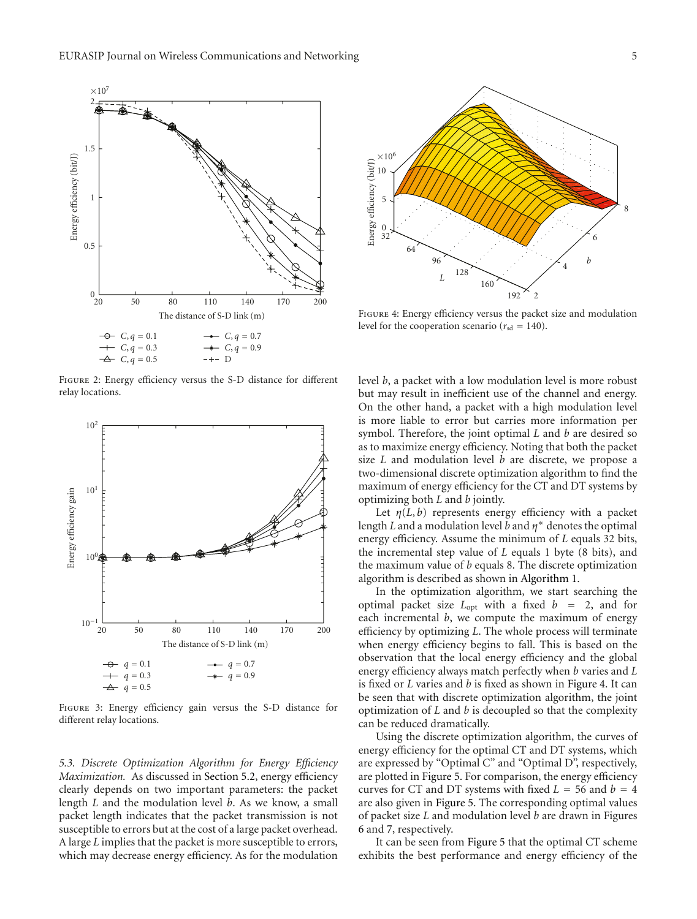

Figure 2: Energy efficiency versus the S-D distance for different relay locations.



Figure 3: Energy efficiency gain versus the S-D distance for different relay locations.

*5.3. Discrete Optimization Algorithm for Energy Efficiency Maximization.* As discussed in Section 5.2, energy efficiency clearly depends on two important parameters: the packet length *L* and the modulation level *b*. As we know, a small packet length indicates that the packet transmission is not susceptible to errors but at the cost of a large packet overhead. A large *L* implies that the packet is more susceptible to errors, which may decrease energy efficiency. As for the modulation



Figure 4: Energy efficiency versus the packet size and modulation level for the cooperation scenario ( $r_{sd} = 140$ ).

level *b*, a packet with a low modulation level is more robust but may result in inefficient use of the channel and energy. On the other hand, a packet with a high modulation level is more liable to error but carries more information per symbol. Therefore, the joint optimal *L* and *b* are desired so as to maximize energy efficiency. Noting that both the packet size *L* and modulation level *b* are discrete, we propose a two-dimensional discrete optimization algorithm to find the maximum of energy efficiency for the CT and DT systems by optimizing both *L* and *b* jointly.

Let  $\eta(L, b)$  represents energy efficiency with a packet length *L* and a modulation level *b* and *η*<sup>∗</sup> denotes the optimal energy efficiency. Assume the minimum of *L* equals 32 bits, the incremental step value of *L* equals 1 byte (8 bits), and the maximum value of *b* equals 8. The discrete optimization algorithm is described as shown in Algorithm 1.

In the optimization algorithm, we start searching the optimal packet size  $L_{opt}$  with a fixed  $b = 2$ , and for each incremental *b*, we compute the maximum of energy efficiency by optimizing *L*. The whole process will terminate when energy efficiency begins to fall. This is based on the observation that the local energy efficiency and the global energy efficiency always match perfectly when *b* varies and *L* is fixed or *L* varies and *b* is fixed as shown in Figure 4. It can be seen that with discrete optimization algorithm, the joint optimization of *L* and *b* is decoupled so that the complexity can be reduced dramatically.

Using the discrete optimization algorithm, the curves of energy efficiency for the optimal CT and DT systems, which are expressed by "Optimal C" and "Optimal D", respectively, are plotted in Figure 5. For comparison, the energy efficiency curves for CT and DT systems with fixed  $L = 56$  and  $b = 4$ are also given in Figure 5. The corresponding optimal values of packet size *L* and modulation level *b* are drawn in Figures 6 and 7, respectively.

It can be seen from Figure 5 that the optimal CT scheme exhibits the best performance and energy efficiency of the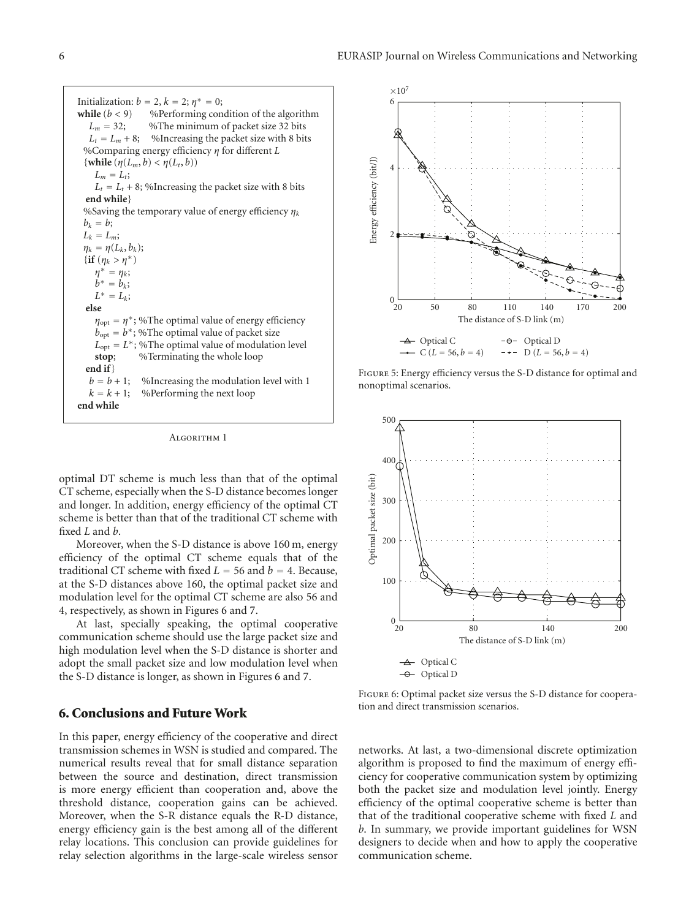Initialization:  $b = 2$ ,  $k = 2$ ;  $\eta^* = 0$ ;<br>while  $(b < 9)$  %Performing con **iile** ( $b < 9$ ) %Performing condition of the algorithm  $L_m = 32$ ; %The minimum of packet size 32 bits %The minimum of packet size 32 bits  $L_t = L_m + 8$ ; %Increasing the packet size with 8 bits %Comparing energy efficiency *η* for different *L*  ${\rm \{while} (\eta(L_m, b) < \eta(L_t, b))$  $L_m = L_t$ ;  $L_t = L_t + 8$ ; %Increasing the packet size with 8 bits **end while**} %Saving the temporary value of energy efficiency *ηk*  $b_k = b;$  $L_k = L_m$ ;  $\eta_k = \eta(L_k, b_k);$ {**if** (*ηk > η*∗)  $\eta^* = \eta_k$ ;  $b^* = b_k$ ;  $L^* = L_k$ ; **else**  $\eta_{\text{opt}} = \eta^*$ ; %The optimal value of energy efficiency  $b_{opt} = b^*$ ; %The optimal value of packet size  $L_{\text{opt}} = L^*$ ; %The optimal value of modulation level<br>**stop**; %Terminating the whole loop **stop**; %Terminating the whole loop **end if**}  $b = b + 1$ ; %Increasing the modulation level with 1  $k = k + 1$ ; %Performing the next loop **end while**

Algorithm 1

optimal DT scheme is much less than that of the optimal CT scheme, especially when the S-D distance becomes longer and longer. In addition, energy efficiency of the optimal CT scheme is better than that of the traditional CT scheme with fixed *L* and *b*.

Moreover, when the S-D distance is above 160 m, energy efficiency of the optimal CT scheme equals that of the traditional CT scheme with fixed  $L = 56$  and  $b = 4$ . Because, at the S-D distances above 160, the optimal packet size and modulation level for the optimal CT scheme are also 56 and 4, respectively, as shown in Figures 6 and 7.

At last, specially speaking, the optimal cooperative communication scheme should use the large packet size and high modulation level when the S-D distance is shorter and adopt the small packet size and low modulation level when the S-D distance is longer, as shown in Figures 6 and 7.

# **6. Conclusions and Future Work**

In this paper, energy efficiency of the cooperative and direct transmission schemes in WSN is studied and compared. The numerical results reveal that for small distance separation between the source and destination, direct transmission is more energy efficient than cooperation and, above the threshold distance, cooperation gains can be achieved. Moreover, when the S-R distance equals the R-D distance, energy efficiency gain is the best among all of the different relay locations. This conclusion can provide guidelines for relay selection algorithms in the large-scale wireless sensor



Figure 5: Energy efficiency versus the S-D distance for optimal and nonoptimal scenarios.



Figure 6: Optimal packet size versus the S-D distance for cooperation and direct transmission scenarios.

networks. At last, a two-dimensional discrete optimization algorithm is proposed to find the maximum of energy efficiency for cooperative communication system by optimizing both the packet size and modulation level jointly. Energy efficiency of the optimal cooperative scheme is better than that of the traditional cooperative scheme with fixed *L* and *b*. In summary, we provide important guidelines for WSN designers to decide when and how to apply the cooperative communication scheme.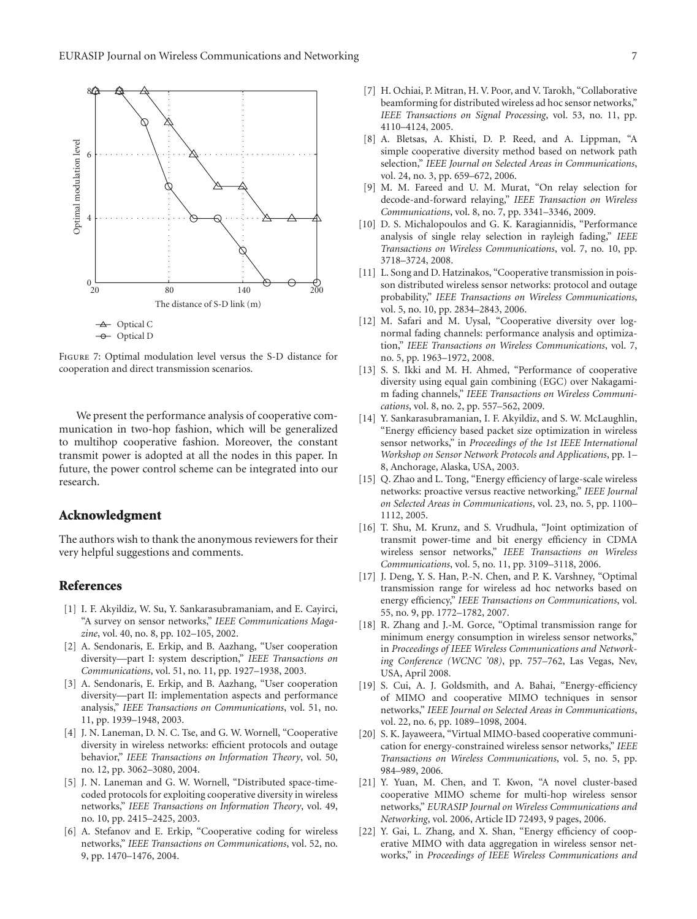

Figure 7: Optimal modulation level versus the S-D distance for cooperation and direct transmission scenarios.

We present the performance analysis of cooperative communication in two-hop fashion, which will be generalized to multihop cooperative fashion. Moreover, the constant transmit power is adopted at all the nodes in this paper. In future, the power control scheme can be integrated into our research.

# **Acknowledgment**

The authors wish to thank the anonymous reviewers for their very helpful suggestions and comments.

# **References**

- [1] I. F. Akyildiz, W. Su, Y. Sankarasubramaniam, and E. Cayirci, "A survey on sensor networks," *IEEE Communications Magazine*, vol. 40, no. 8, pp. 102–105, 2002.
- [2] A. Sendonaris, E. Erkip, and B. Aazhang, "User cooperation diversity—part I: system description," *IEEE Transactions on Communications*, vol. 51, no. 11, pp. 1927–1938, 2003.
- [3] A. Sendonaris, E. Erkip, and B. Aazhang, "User cooperation diversity—part II: implementation aspects and performance analysis," *IEEE Transactions on Communications*, vol. 51, no. 11, pp. 1939–1948, 2003.
- [4] J. N. Laneman, D. N. C. Tse, and G. W. Wornell, "Cooperative diversity in wireless networks: efficient protocols and outage behavior," *IEEE Transactions on Information Theory*, vol. 50, no. 12, pp. 3062–3080, 2004.
- [5] J. N. Laneman and G. W. Wornell, "Distributed space-timecoded protocols for exploiting cooperative diversity in wireless networks," *IEEE Transactions on Information Theory*, vol. 49, no. 10, pp. 2415–2425, 2003.
- [6] A. Stefanov and E. Erkip, "Cooperative coding for wireless networks," *IEEE Transactions on Communications*, vol. 52, no. 9, pp. 1470–1476, 2004.
- [7] H. Ochiai, P. Mitran, H. V. Poor, and V. Tarokh, "Collaborative beamforming for distributed wireless ad hoc sensor networks," *IEEE Transactions on Signal Processing*, vol. 53, no. 11, pp. 4110–4124, 2005.
- [8] A. Bletsas, A. Khisti, D. P. Reed, and A. Lippman, "A simple cooperative diversity method based on network path selection," *IEEE Journal on Selected Areas in Communications*, vol. 24, no. 3, pp. 659–672, 2006.
- [9] M. M. Fareed and U. M. Murat, "On relay selection for decode-and-forward relaying," *IEEE Transaction on Wireless Communications*, vol. 8, no. 7, pp. 3341–3346, 2009.
- [10] D. S. Michalopoulos and G. K. Karagiannidis, "Performance analysis of single relay selection in rayleigh fading," *IEEE Transactions on Wireless Communications*, vol. 7, no. 10, pp. 3718–3724, 2008.
- [11] L. Song and D. Hatzinakos, "Cooperative transmission in poisson distributed wireless sensor networks: protocol and outage probability," *IEEE Transactions on Wireless Communications*, vol. 5, no. 10, pp. 2834–2843, 2006.
- [12] M. Safari and M. Uysal, "Cooperative diversity over lognormal fading channels: performance analysis and optimization," *IEEE Transactions on Wireless Communications*, vol. 7, no. 5, pp. 1963–1972, 2008.
- [13] S. S. Ikki and M. H. Ahmed, "Performance of cooperative diversity using equal gain combining (EGC) over Nakagamim fading channels," *IEEE Transactions on Wireless Communications*, vol. 8, no. 2, pp. 557–562, 2009.
- [14] Y. Sankarasubramanian, I. F. Akyildiz, and S. W. McLaughlin, "Energy efficiency based packet size optimization in wireless sensor networks," in *Proceedings of the 1st IEEE International Workshop on Sensor Network Protocols and Applications*, pp. 1– 8, Anchorage, Alaska, USA, 2003.
- [15] Q. Zhao and L. Tong, "Energy efficiency of large-scale wireless networks: proactive versus reactive networking," *IEEE Journal on Selected Areas in Communications*, vol. 23, no. 5, pp. 1100– 1112, 2005.
- [16] T. Shu, M. Krunz, and S. Vrudhula, "Joint optimization of transmit power-time and bit energy efficiency in CDMA wireless sensor networks," *IEEE Transactions on Wireless Communications*, vol. 5, no. 11, pp. 3109–3118, 2006.
- [17] J. Deng, Y. S. Han, P.-N. Chen, and P. K. Varshney, "Optimal transmission range for wireless ad hoc networks based on energy efficiency," *IEEE Transactions on Communications*, vol. 55, no. 9, pp. 1772–1782, 2007.
- [18] R. Zhang and J.-M. Gorce, "Optimal transmission range for minimum energy consumption in wireless sensor networks," in *Proceedings of IEEE Wireless Communications and Networking Conference (WCNC '08)*, pp. 757–762, Las Vegas, Nev, USA, April 2008.
- [19] S. Cui, A. J. Goldsmith, and A. Bahai, "Energy-efficiency of MIMO and cooperative MIMO techniques in sensor networks," *IEEE Journal on Selected Areas in Communications*, vol. 22, no. 6, pp. 1089–1098, 2004.
- [20] S. K. Jayaweera, "Virtual MIMO-based cooperative communication for energy-constrained wireless sensor networks," *IEEE Transactions on Wireless Communications*, vol. 5, no. 5, pp. 984–989, 2006.
- [21] Y. Yuan, M. Chen, and T. Kwon, "A novel cluster-based cooperative MIMO scheme for multi-hop wireless sensor networks," *EURASIP Journal on Wireless Communications and Networking*, vol. 2006, Article ID 72493, 9 pages, 2006.
- [22] Y. Gai, L. Zhang, and X. Shan, "Energy efficiency of cooperative MIMO with data aggregation in wireless sensor networks," in *Proceedings of IEEE Wireless Communications and*